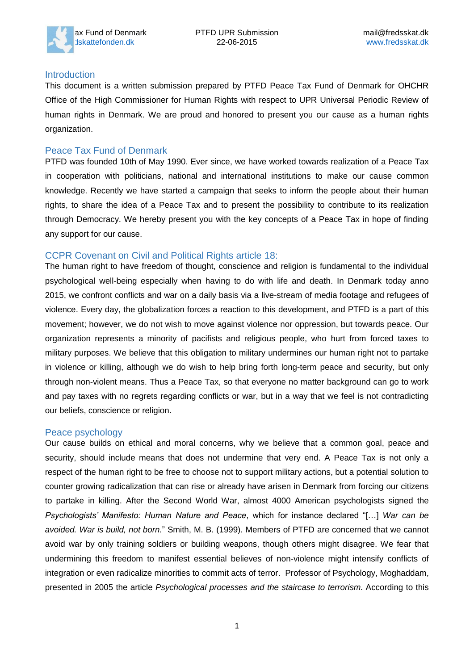

#### **Introduction**

This document is a written submission prepared by PTFD Peace Tax Fund of Denmark for OHCHR Office of the High Commissioner for Human Rights with respect to UPR Universal Periodic Review of human rights in Denmark. We are proud and honored to present you our cause as a human rights organization.

## Peace Tax Fund of Denmark

PTFD was founded 10th of May 1990. Ever since, we have worked towards realization of a Peace Tax in cooperation with politicians, national and international institutions to make our cause common knowledge. Recently we have started a campaign that seeks to inform the people about their human rights, to share the idea of a Peace Tax and to present the possibility to contribute to its realization through Democracy. We hereby present you with the key concepts of a Peace Tax in hope of finding any support for our cause.

## CCPR Covenant on Civil and Political Rights article 18:

The human right to have freedom of thought, conscience and religion is fundamental to the individual psychological well-being especially when having to do with life and death. In Denmark today anno 2015, we confront conflicts and war on a daily basis via a live-stream of media footage and refugees of violence. Every day, the globalization forces a reaction to this development, and PTFD is a part of this movement; however, we do not wish to move against violence nor oppression, but towards peace. Our organization represents a minority of pacifists and religious people, who hurt from forced taxes to military purposes. We believe that this obligation to military undermines our human right not to partake in violence or killing, although we do wish to help bring forth long-term peace and security, but only through non-violent means. Thus a Peace Tax, so that everyone no matter background can go to work and pay taxes with no regrets regarding conflicts or war, but in a way that we feel is not contradicting our beliefs, conscience or religion.

## Peace psychology

Our cause builds on ethical and moral concerns, why we believe that a common goal, peace and security, should include means that does not undermine that very end. A Peace Tax is not only a respect of the human right to be free to choose not to support military actions, but a potential solution to counter growing radicalization that can rise or already have arisen in Denmark from forcing our citizens to partake in killing. After the Second World War, almost 4000 American psychologists signed the *Psychologists' Manifesto: Human Nature and Peace*, which for instance declared "[…] *War can be avoided. War is build, not born.*" Smith, M. B. (1999). Members of PTFD are concerned that we cannot avoid war by only training soldiers or building weapons, though others might disagree. We fear that undermining this freedom to manifest essential believes of non-violence might intensify conflicts of integration or even radicalize minorities to commit acts of terror. Professor of Psychology, Moghaddam, presented in 2005 the article *Psychological processes and the staircase to terrorism*. According to this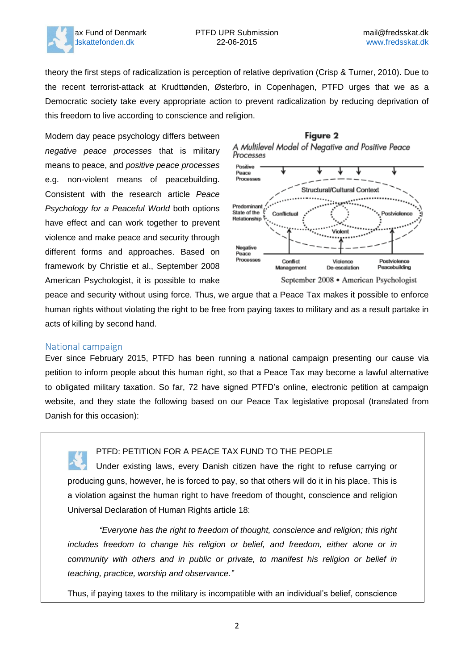

theory the first steps of radicalization is perception of relative deprivation (Crisp & Turner, 2010). Due to the recent terrorist-attack at Krudttønden, Østerbro, in Copenhagen, PTFD urges that we as a Democratic society take every appropriate action to prevent radicalization by reducing deprivation of this freedom to live according to conscience and religion.

Modern day peace psychology differs between *negative peace processes* that is military means to peace, and *positive peace processes* e.g. non-violent means of peacebuilding. Consistent with the research article *Peace Psychology for a Peaceful World* both options have effect and can work together to prevent violence and make peace and security through different forms and approaches. Based on framework by Christie et al., September 2008 American Psychologist, it is possible to make



peace and security without using force. Thus, we argue that a Peace Tax makes it possible to enforce human rights without violating the right to be free from paying taxes to military and as a result partake in acts of killing by second hand.

#### National campaign

Ever since February 2015, PTFD has been running a national campaign presenting our cause via petition to inform people about this human right, so that a Peace Tax may become a lawful alternative to obligated military taxation. So far, 72 have signed PTFD's online, electronic petition at campaign website, and they state the following based on our Peace Tax legislative proposal (translated from Danish for this occasion):

PTFD: PETITION FOR A PEACE TAX FUND TO THE PEOPLE Under existing laws, every Danish citizen have the right to refuse carrying or producing guns, however, he is forced to pay, so that others will do it in his place. This is a violation against the human right to have freedom of thought, conscience and religion Universal Declaration of Human Rights article 18:

*"Everyone has the right to freedom of thought, conscience and religion; this right includes freedom to change his religion or belief, and freedom, either alone or in community with others and in public or private, to manifest his religion or belief in teaching, practice, worship and observance."*

Thus, if paying taxes to the military is incompatible with an individual's belief, conscience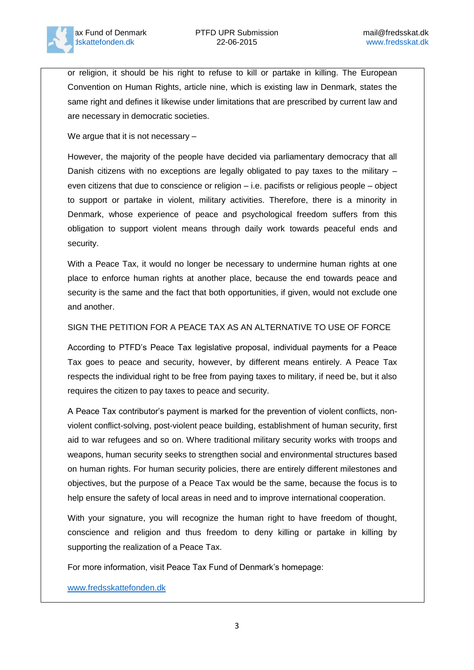

or religion, it should be his right to refuse to kill or partake in killing. The European Convention on Human Rights, article nine, which is existing law in Denmark, states the same right and defines it likewise under limitations that are prescribed by current law and are necessary in democratic societies.

We argue that it is not necessary –

However, the majority of the people have decided via parliamentary democracy that all Danish citizens with no exceptions are legally obligated to pay taxes to the military  $$ even citizens that due to conscience or religion – i.e. pacifists or religious people – object to support or partake in violent, military activities. Therefore, there is a minority in Denmark, whose experience of peace and psychological freedom suffers from this obligation to support violent means through daily work towards peaceful ends and security.

With a Peace Tax, it would no longer be necessary to undermine human rights at one place to enforce human rights at another place, because the end towards peace and security is the same and the fact that both opportunities, if given, would not exclude one and another.

#### SIGN THE PETITION FOR A PEACE TAX AS AN ALTERNATIVE TO USE OF FORCE

According to PTFD's Peace Tax legislative proposal, individual payments for a Peace Tax goes to peace and security, however, by different means entirely. A Peace Tax respects the individual right to be free from paying taxes to military, if need be, but it also requires the citizen to pay taxes to peace and security.

A Peace Tax contributor's payment is marked for the prevention of violent conflicts, nonviolent conflict-solving, post-violent peace building, establishment of human security, first aid to war refugees and so on. Where traditional military security works with troops and weapons, human security seeks to strengthen social and environmental structures based on human rights. For human security policies, there are entirely different milestones and objectives, but the purpose of a Peace Tax would be the same, because the focus is to help ensure the safety of local areas in need and to improve international cooperation.

With your signature, you will recognize the human right to have freedom of thought, conscience and religion and thus freedom to deny killing or partake in killing by supporting the realization of a Peace Tax.

For more information, visit Peace Tax Fund of Denmark's homepage:

[www.fredsskattefonden.dk](http://www.fredsskattefonden.dk/)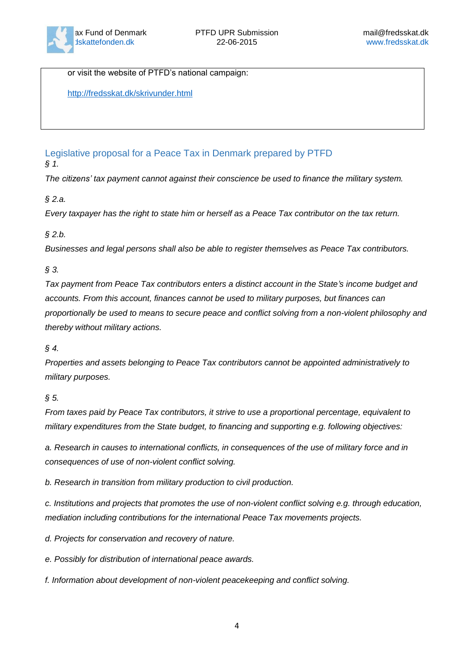

or visit the website of PTFD's national campaign:

<http://fredsskat.dk/skrivunder.html>

Legislative proposal for a Peace Tax in Denmark prepared by PTFD

*§ 1.*

*The citizens' tax payment cannot against their conscience be used to finance the military system.*

# *§ 2.a.*

*Every taxpayer has the right to state him or herself as a Peace Tax contributor on the tax return.*

## *§ 2.b.*

*Businesses and legal persons shall also be able to register themselves as Peace Tax contributors.*

# *§ 3.*

*Tax payment from Peace Tax contributors enters a distinct account in the State's income budget and accounts. From this account, finances cannot be used to military purposes, but finances can proportionally be used to means to secure peace and conflict solving from a non-violent philosophy and thereby without military actions.*

# *§ 4.*

*Properties and assets belonging to Peace Tax contributors cannot be appointed administratively to military purposes.*

# *§ 5.*

*From taxes paid by Peace Tax contributors, it strive to use a proportional percentage, equivalent to military expenditures from the State budget, to financing and supporting e.g. following objectives:*

*a. Research in causes to international conflicts, in consequences of the use of military force and in consequences of use of non-violent conflict solving.*

*b. Research in transition from military production to civil production.*

*c. Institutions and projects that promotes the use of non-violent conflict solving e.g. through education, mediation including contributions for the international Peace Tax movements projects.*

*d. Projects for conservation and recovery of nature.*

*e. Possibly for distribution of international peace awards.*

*f. Information about development of non-violent peacekeeping and conflict solving.*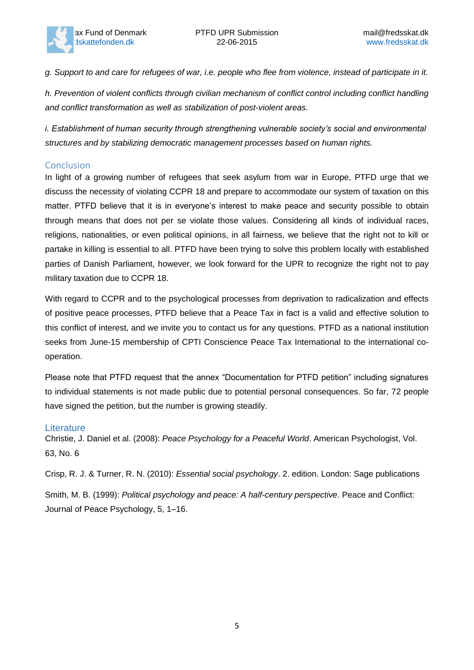

*g. Support to and care for refugees of war, i.e. people who flee from violence, instead of participate in it.*

*h. Prevention of violent conflicts through civilian mechanism of conflict control including conflict handling and conflict transformation as well as stabilization of post-violent areas.*

*i. Establishment of human security through strengthening vulnerable society's social and environmental structures and by stabilizing democratic management processes based on human rights.*

# Conclusion

In light of a growing number of refugees that seek asylum from war in Europe, PTFD urge that we discuss the necessity of violating CCPR 18 and prepare to accommodate our system of taxation on this matter. PTFD believe that it is in everyone's interest to make peace and security possible to obtain through means that does not per se violate those values. Considering all kinds of individual races, religions, nationalities, or even political opinions, in all fairness, we believe that the right not to kill or partake in killing is essential to all. PTFD have been trying to solve this problem locally with established parties of Danish Parliament, however, we look forward for the UPR to recognize the right not to pay military taxation due to CCPR 18.

With regard to CCPR and to the psychological processes from deprivation to radicalization and effects of positive peace processes, PTFD believe that a Peace Tax in fact is a valid and effective solution to this conflict of interest, and we invite you to contact us for any questions. PTFD as a national institution seeks from June-15 membership of CPTI Conscience Peace Tax International to the international cooperation.

Please note that PTFD request that the annex "Documentation for PTFD petition" including signatures to individual statements is not made public due to potential personal consequences. So far, 72 people have signed the petition, but the number is growing steadily.

# **Literature**

Christie, J. Daniel et al. (2008): *Peace Psychology for a Peaceful World*. American Psychologist, Vol. 63, No. 6

Crisp, R. J. & Turner, R. N. (2010): *Essential social psychology*. 2. edition. London: Sage publications

Smith, M. B. (1999): *Political psychology and peace: A half-century perspective*. Peace and Conflict: Journal of Peace Psychology, 5, 1–16.